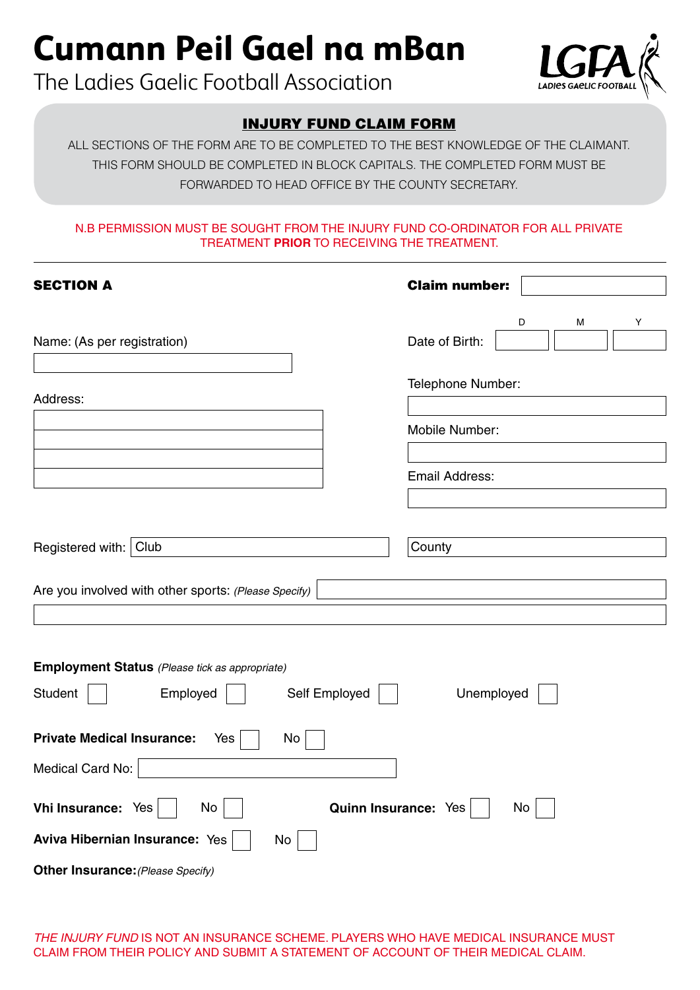# **Cumann Peil Gael na mBan**

The Ladies Gaelic Football Association



# INJURY FUND CLAIM FORM

ALL SECTIONS OF THE FORM ARE TO BE COMPLETED TO THE BEST KNOWLEDGE OF THE CLAIMANT. THIS FORM SHOULD BE COMPLETED IN BLOCK CAPITALS. THE COMPLETED FORM MUST BE FORWARDED TO HEAD OFFICE BY THE COUNTY SECRETARY.

## N.B Permission must be sought from the INJURY Fund Co-Ordinator for All Private Treatment **prior** to receiving the Treatment.

| <b>SECTION A</b>                                                                                            | <b>Claim number:</b> |   |   |   |  |  |
|-------------------------------------------------------------------------------------------------------------|----------------------|---|---|---|--|--|
|                                                                                                             |                      | D | М | Υ |  |  |
| Name: (As per registration)                                                                                 | Date of Birth:       |   |   |   |  |  |
| Address:                                                                                                    | Telephone Number:    |   |   |   |  |  |
|                                                                                                             | Mobile Number:       |   |   |   |  |  |
|                                                                                                             | Email Address:       |   |   |   |  |  |
|                                                                                                             |                      |   |   |   |  |  |
| Registered with: Club                                                                                       | County               |   |   |   |  |  |
| Are you involved with other sports: (Please Specify)                                                        |                      |   |   |   |  |  |
|                                                                                                             |                      |   |   |   |  |  |
| <b>Employment Status</b> (Please tick as appropriate)<br>Self Employed<br>Unemployed<br>Student<br>Employed |                      |   |   |   |  |  |
| <b>Private Medical Insurance:</b><br>No<br>Yes                                                              |                      |   |   |   |  |  |
| Medical Card No:                                                                                            |                      |   |   |   |  |  |
| Quinn Insurance: Yes<br>Vhi Insurance: Yes<br>No<br>No                                                      |                      |   |   |   |  |  |
| Aviva Hibernian Insurance: Yes<br>No                                                                        |                      |   |   |   |  |  |
| Other Insurance: (Please Specify)                                                                           |                      |   |   |   |  |  |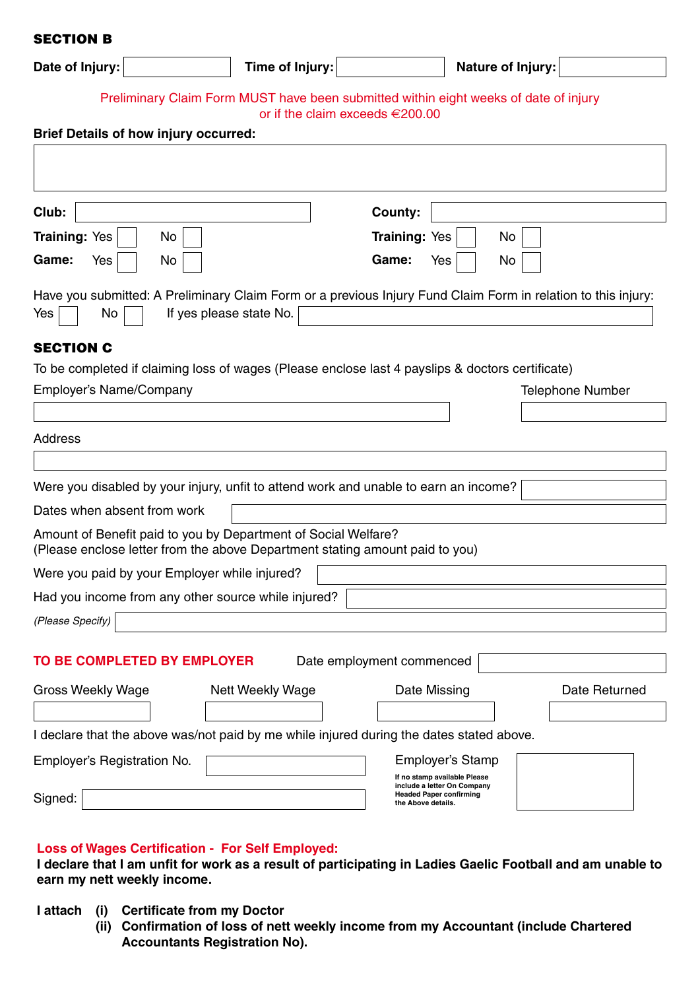### SECTION B

| Date of Injury:                                                                                                                                | Time of Injury:         |                                                                                                                     | <b>Nature of Injury:</b> |  |  |  |
|------------------------------------------------------------------------------------------------------------------------------------------------|-------------------------|---------------------------------------------------------------------------------------------------------------------|--------------------------|--|--|--|
| Preliminary Claim Form MUST have been submitted within eight weeks of date of injury<br>or if the claim exceeds $\in$ 200.00                   |                         |                                                                                                                     |                          |  |  |  |
| <b>Brief Details of how injury occurred:</b>                                                                                                   |                         |                                                                                                                     |                          |  |  |  |
|                                                                                                                                                |                         |                                                                                                                     |                          |  |  |  |
| Club:                                                                                                                                          |                         | County:                                                                                                             |                          |  |  |  |
| Training: Yes<br>No                                                                                                                            |                         | <b>Training: Yes</b>                                                                                                | No                       |  |  |  |
| Game:<br>No<br>Yes                                                                                                                             |                         | Game:<br>Yes                                                                                                        | No                       |  |  |  |
| Have you submitted: A Preliminary Claim Form or a previous Injury Fund Claim Form in relation to this injury:<br>Yes<br>No                     | If yes please state No. |                                                                                                                     |                          |  |  |  |
| <b>SECTION C</b>                                                                                                                               |                         |                                                                                                                     |                          |  |  |  |
| To be completed if claiming loss of wages (Please enclose last 4 payslips & doctors certificate)                                               |                         |                                                                                                                     |                          |  |  |  |
| Employer's Name/Company                                                                                                                        |                         |                                                                                                                     | <b>Telephone Number</b>  |  |  |  |
|                                                                                                                                                |                         |                                                                                                                     |                          |  |  |  |
| Address                                                                                                                                        |                         |                                                                                                                     |                          |  |  |  |
|                                                                                                                                                |                         |                                                                                                                     |                          |  |  |  |
| Were you disabled by your injury, unfit to attend work and unable to earn an income?                                                           |                         |                                                                                                                     |                          |  |  |  |
| Dates when absent from work                                                                                                                    |                         |                                                                                                                     |                          |  |  |  |
| Amount of Benefit paid to you by Department of Social Welfare?<br>(Please enclose letter from the above Department stating amount paid to you) |                         |                                                                                                                     |                          |  |  |  |
| Were you paid by your Employer while injured?                                                                                                  |                         |                                                                                                                     |                          |  |  |  |
| Had you income from any other source while injured?                                                                                            |                         |                                                                                                                     |                          |  |  |  |
| (Please Specify)                                                                                                                               |                         |                                                                                                                     |                          |  |  |  |
|                                                                                                                                                |                         |                                                                                                                     |                          |  |  |  |
| TO BE COMPLETED BY EMPLOYER                                                                                                                    |                         | Date employment commenced                                                                                           |                          |  |  |  |
| <b>Gross Weekly Wage</b>                                                                                                                       | <b>Nett Weekly Wage</b> | Date Missing                                                                                                        | Date Returned            |  |  |  |
| I declare that the above was/not paid by me while injured during the dates stated above.                                                       |                         |                                                                                                                     |                          |  |  |  |
| Employer's Registration No.                                                                                                                    |                         | Employer's Stamp                                                                                                    |                          |  |  |  |
| Signed:                                                                                                                                        |                         | If no stamp available Please<br>include a letter On Company<br><b>Headed Paper confirming</b><br>the Above details. |                          |  |  |  |
|                                                                                                                                                |                         |                                                                                                                     |                          |  |  |  |

# **Loss of Wages Certification - For Self Employed:**

**I declare that I am unfit for work as a result of participating in Ladies Gaelic Football and am unable to earn my nett weekly income.**

- **I attach (i) Certificate from my Doctor**
	- **(ii) Confirmation of loss of nett weekly income from my Accountant (include Chartered Accountants Registration No).**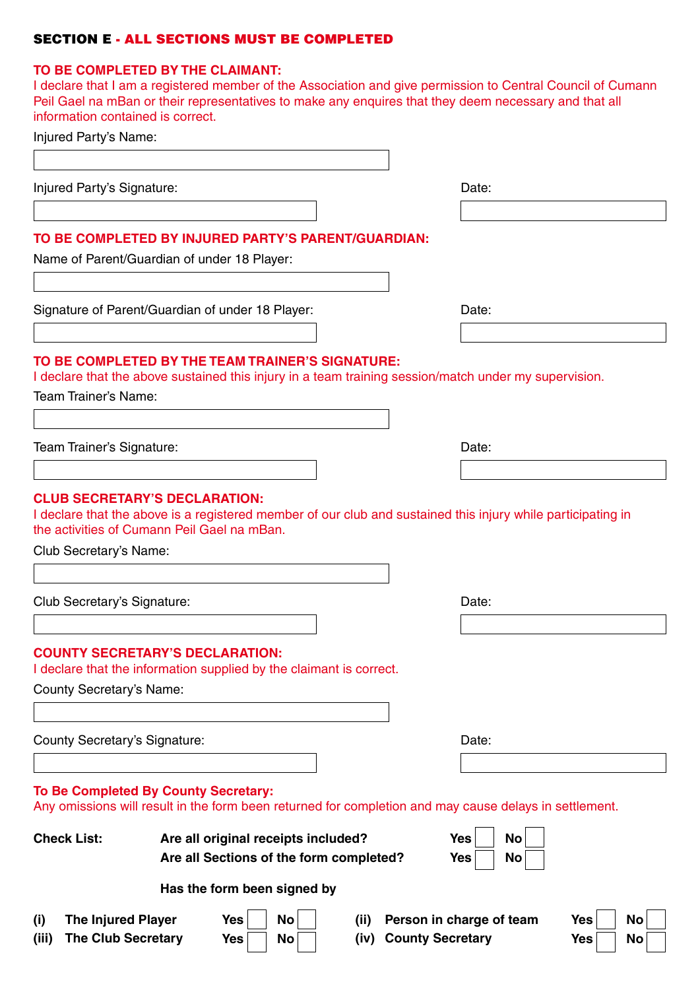# SECTION E - All sections must be completed

### **TO be completed by the claimant:**

I declare that I am a registered member of the Association and give permission to Central Council of Cumann Peil Gael na mBan or their representatives to make any enquires that they deem necessary and that all information contained is correct.

| <b>The Injured Player</b><br>(i) | Has the form been signed by<br>No<br>Yes<br>(ii)                                                              | Person in charge of team<br><b>Yes</b><br>No                                                                 |
|----------------------------------|---------------------------------------------------------------------------------------------------------------|--------------------------------------------------------------------------------------------------------------|
| <b>Check List:</b>               | Are all original receipts included?<br>Are all Sections of the form completed?                                | <b>Yes</b><br>No<br><b>Yes</b><br>No                                                                         |
|                                  | To Be Completed By County Secretary:                                                                          | Any omissions will result in the form been returned for completion and may cause delays in settlement.       |
| County Secretary's Signature:    |                                                                                                               | Date:                                                                                                        |
|                                  |                                                                                                               |                                                                                                              |
| County Secretary's Name:         |                                                                                                               |                                                                                                              |
|                                  | <b>COUNTY SECRETARY'S DECLARATION:</b><br>I declare that the information supplied by the claimant is correct. |                                                                                                              |
|                                  |                                                                                                               |                                                                                                              |
| Club Secretary's Signature:      |                                                                                                               | Date:                                                                                                        |
| Club Secretary's Name:           |                                                                                                               |                                                                                                              |
|                                  | <b>CLUB SECRETARY'S DECLARATION:</b><br>the activities of Cumann Peil Gael na mBan.                           | I declare that the above is a registered member of our club and sustained this injury while participating in |
| Team Trainer's Signature:        |                                                                                                               | Date:                                                                                                        |
| Team Trainer's Name:             | TO BE COMPLETED BY THE TEAM TRAINER'S SIGNATURE:                                                              | I declare that the above sustained this injury in a team training session/match under my supervision.        |
|                                  |                                                                                                               |                                                                                                              |
|                                  | Signature of Parent/Guardian of under 18 Player:                                                              | Date:                                                                                                        |
|                                  | TO BE COMPLETED BY INJURED PARTY'S PARENT/GUARDIAN:<br>Name of Parent/Guardian of under 18 Player:            |                                                                                                              |
|                                  |                                                                                                               |                                                                                                              |
| Injured Party's Signature:       |                                                                                                               | Date:                                                                                                        |
|                                  |                                                                                                               |                                                                                                              |
| Injured Party's Name:            |                                                                                                               |                                                                                                              |

(iii) The Club Secretary Yes No No No (iv) County Secretary **And Mo No No No**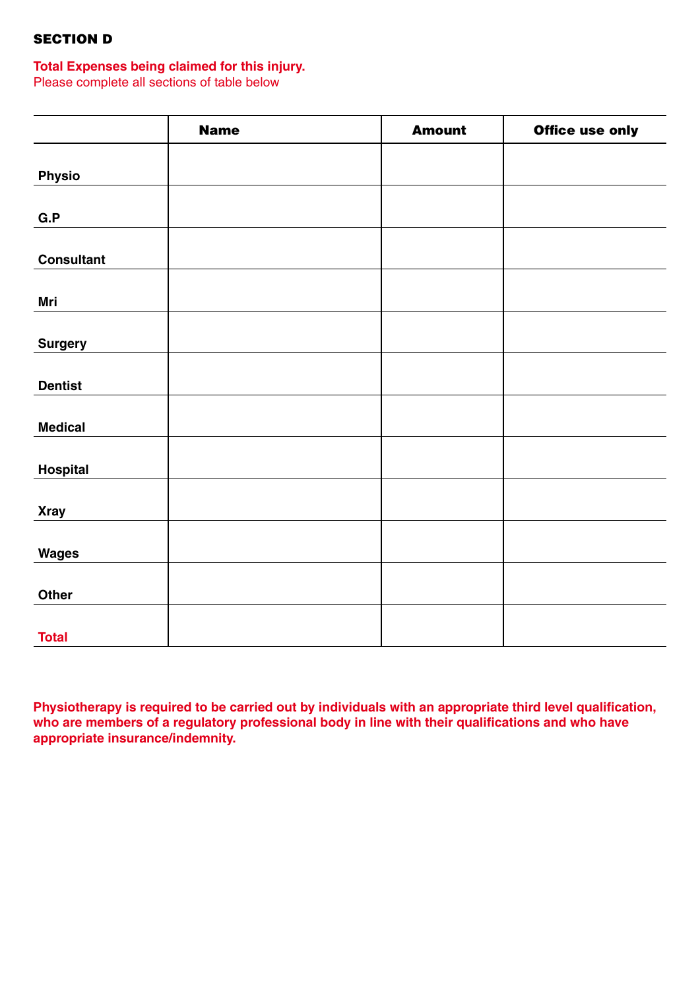# SECTION D

# **Total Expenses being claimed for this injury.**

Please complete all sections of table below

|                   | <b>Name</b> | <b>Amount</b> | <b>Office use only</b> |
|-------------------|-------------|---------------|------------------------|
|                   |             |               |                        |
| <b>Physio</b>     |             |               |                        |
|                   |             |               |                        |
| G.P               |             |               |                        |
|                   |             |               |                        |
| <b>Consultant</b> |             |               |                        |
|                   |             |               |                        |
| Mri               |             |               |                        |
| <b>Surgery</b>    |             |               |                        |
|                   |             |               |                        |
| <b>Dentist</b>    |             |               |                        |
|                   |             |               |                        |
| <b>Medical</b>    |             |               |                        |
|                   |             |               |                        |
| <b>Hospital</b>   |             |               |                        |
|                   |             |               |                        |
| <b>Xray</b>       |             |               |                        |
|                   |             |               |                        |
| <b>Wages</b>      |             |               |                        |
| Other             |             |               |                        |
|                   |             |               |                        |
| <b>Total</b>      |             |               |                        |

**Physiotherapy is required to be carried out by individuals with an appropriate third level qualification,**  who are members of a regulatory professional body in line with their qualifications and who have **appropriate insurance/indemnity.**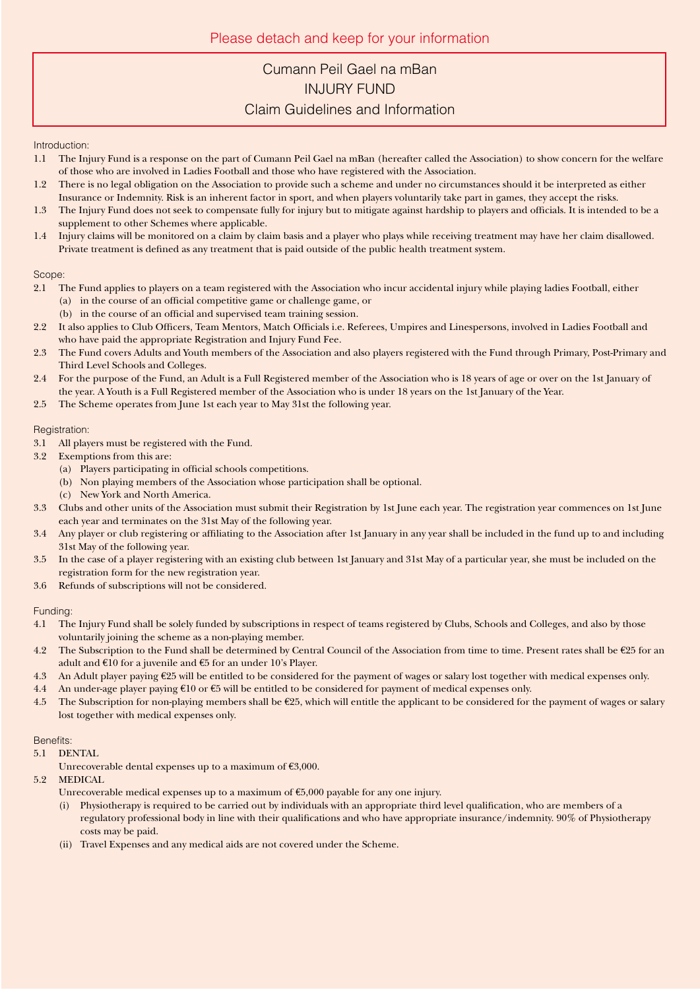# Cumann Peil Gael na mBan INjury Fund Claim Guidelines and Information

#### Introduction:

- 1.1 The Injury Fund is a response on the part of Cumann Peil Gael na mBan (hereafter called the Association) to show concern for the welfare of those who are involved in Ladies Football and those who have registered with the Association.
- 1.2 There is no legal obligation on the Association to provide such a scheme and under no circumstances should it be interpreted as either Insurance or Indemnity. Risk is an inherent factor in sport, and when players voluntarily take part in games, they accept the risks.
- 1.3 The Injury Fund does not seek to compensate fully for injury but to mitigate against hardship to players and officials. It is intended to be a supplement to other Schemes where applicable.
- 1.4 Injury claims will be monitored on a claim by claim basis and a player who plays while receiving treatment may have her claim disallowed. Private treatment is defined as any treatment that is paid outside of the public health treatment system.

#### Scope:

- 2.1 The Fund applies to players on a team registered with the Association who incur accidental injury while playing ladies Football, either (a) in the course of an official competitive game or challenge game, or
- (b) in the course of an official and supervised team training session. 2.2 It also applies to Club Officers, Team Mentors, Match Officials i.e. Referees, Umpires and Linespersons, involved in Ladies Football and who have paid the appropriate Registration and Injury Fund Fee.
- 2.3 The Fund covers Adults and Youth members of the Association and also players registered with the Fund through Primary, Post-Primary and Third Level Schools and Colleges.
- 2.4 For the purpose of the Fund, an Adult is a Full Registered member of the Association who is 18 years of age or over on the 1st January of the year. A Youth is a Full Registered member of the Association who is under 18 years on the 1st January of the Year.
- 2.5 The Scheme operates from June 1st each year to May 31st the following year.

### Registration:

- 3.1 All players must be registered with the Fund.
- 3.2 Exemptions from this are:
	- (a) Players participating in official schools competitions.
	- (b) Non playing members of the Association whose participation shall be optional.
	- (c) New York and North America.
- 3.3 Clubs and other units of the Association must submit their Registration by 1st June each year. The registration year commences on 1st June each year and terminates on the 31st May of the following year.
- 3.4 Any player or club registering or affiliating to the Association after 1st January in any year shall be included in the fund up to and including 31st May of the following year.
- 3.5 In the case of a player registering with an existing club between 1st January and 31st May of a particular year, she must be included on the registration form for the new registration year.
- 3.6 Refunds of subscriptions will not be considered.

### Funding:

- 4.1 The Injury Fund shall be solely funded by subscriptions in respect of teams registered by Clubs, Schools and Colleges, and also by those voluntarily joining the scheme as a non-playing member.
- 4.2 The Subscription to the Fund shall be determined by Central Council of the Association from time to time. Present rates shall be €25 for an adult and €10 for a juvenile and €5 for an under 10's Player.
- 4.3 An Adult player paying  $\epsilon$ 25 will be entitled to be considered for the payment of wages or salary lost together with medical expenses only.
- 4.4 An under-age player paying €10 or €5 will be entitled to be considered for payment of medical expenses only.
- 4.5 The Subscription for non-playing members shall be  $\epsilon$ 25, which will entitle the applicant to be considered for the payment of wages or salary lost together with medical expenses only.

#### Benefits:

- 5.1 DENTAL
	- Unrecoverable dental expenses up to a maximum of  $\epsilon$ 3,000.
- 5.2 MEDICAL
	- Unrecoverable medical expenses up to a maximum of  $\epsilon$ 5,000 payable for any one injury.
	- (i) Physiotherapy is required to be carried out by individuals with an appropriate third level qualification, who are members of a regulatory professional body in line with their qualifications and who have appropriate insurance/indemnity. 90% of Physiotherapy costs may be paid.
	- (ii) Travel Expenses and any medical aids are not covered under the Scheme.